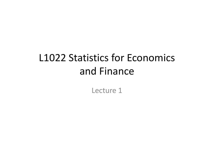# L1022 Statistics for Economics and Finance

Lecture 1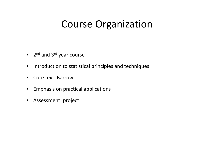## Course Organization

- 2<sup>nd</sup> and 3<sup>rd</sup> year course
- $\bullet$ • Introduction to statistical principles and techniques
- $\bullet$ • Core text: Barrow
- $\bullet$ Emphasis on practical applications
- •Assessment: project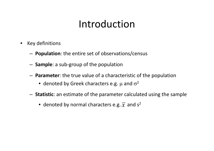## Introduction

- • Key definitions
	- **Population**: the entire set of observations/census
	- **Sample**: <sup>a</sup> sub‐group of the population
	- **Parameter** : the true value of <sup>a</sup> characteristic of the population
		- $\bullet\,$  denoted by Greek characters e.g.  $\mu$  and  $\sigma^2$
	- **Statistic**: an estimate of the parameter calculated using the sample
		- $\bullet\,$  denoted by normal characters e.g.  $\overline{\chi}\,$  and s<sup>2</sup>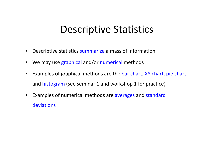## Descriptive Statistics

- •Descriptive statistics summarize <sup>a</sup> mass of information
- •• We may use graphical and/or numerical methods
- • Examples of graphical methods are the bar chart, XY chart, pie chart and histogram (see seminar 1 and workshop 1 for practice)
- Examples of numerical methods are averages and standard deviations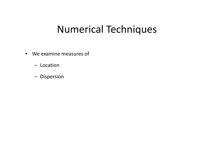## Numerical Techniques

- We examine measures of
	- Location
	- Dispersion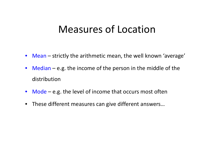## Measures of Location

- Mean strictly the arithmetic mean, the well known 'average'
- Median e.g. the income of the person in the middle of the distribution
- $\bullet$  Mode e.g. the level of income that occurs most often
- These different measures can give different answers…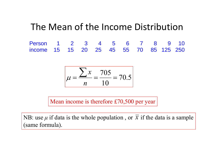### The Mean of the Income Distribution

Person 1 2 3 4 5 6 7 8 9 10 income 15 15 20 25 45 55 70 85 125 250

$$
\mu = \frac{\sum x}{n} = \frac{705}{10} = 70.5
$$

Mean income is therefore £70,500 per year

NB: use  $\mu$  if data is the whole population, or  $\overline{x}$  if the data is a sample (same formula).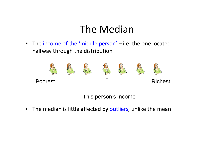## The Median

• The income of the 'middle person' – i.e. the one located halfway through the distribution



 $\bullet$ • The median is little affected by outliers, unlike the mean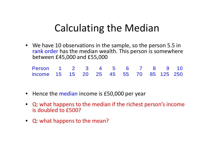## **Calculating the Median**

• We have 10 observations in the sample, so the person 5.5 in rank order has the median wealth. This person is somewhere between £45,000 and £55,000

| Person 1 2 3 4 5 6 7 8 9 10            |  |  |  |  |  |
|----------------------------------------|--|--|--|--|--|
| income 15 15 20 25 45 55 70 85 125 250 |  |  |  |  |  |

- Hence the median income is £50,000 per year
- Q: what happens to the median if the richest person's income is doubled to £500?
- Q: what happens to the mean?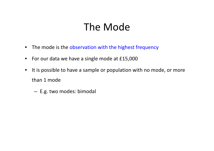## The Mode

- The mode is the observation with the highest frequency
- For our data we have a single mode at £15,000
- $\bullet$ • It is possible to have a sample or population with no mode, or more than 1 mode
	- – $-$  E.g. two modes: bimodal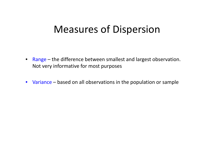## Measures of Dispersion

- Range the difference between smallest and largest observation. Not very informative for most purposes
- Variance based on all observations in the population or sample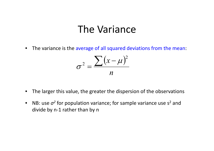### The Variance

 $\bullet$ • The variance is the average of all squared deviations from the mean:

$$
\sigma^2 = \frac{\sum (x - \mu)^2}{n}
$$

- $\bullet$ The larger this value, the greater the dispersion of the observations
- $\bullet$ • NB: use  $\sigma^2$  for population variance; for sample variance use s<sup>2</sup> and divide by <sup>n</sup>‐1 rather than by <sup>n</sup>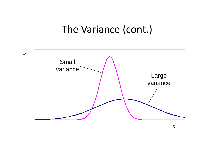## The Variance (cont.)

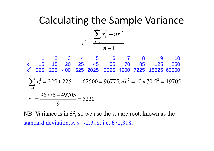## Calculating the Sample Variance



i 1 2 3 4 5 6 7 8 9 10 x 15 15 20 25 45 55 70 85 125 250 <sup>x</sup>2 225 225 400 625 2025 3025 4900 7225 15625 62500  $\sum_{i=1}^{10} x_i^2 = 225 + 225 + \dots$  62500 = 96775;  $n\overline{x}^2 = 10 \times 70.5^2 = 49705$ 1  $x_i^2 = 225 + 225 + \dots 62500 = 96775; nx$ *i* $\frac{2}{2}$  96775 – 49705

$$
s^2 = \frac{967/5 - 49705}{9} = 5230
$$

NB: Variance is in  $\mathbb{E}^2$ , so we use the square root, known as the standard deviation, *<sup>s</sup>*. *<sup>s</sup>*=72.318, i.e. £72,318.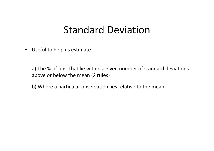## Standard Deviation

 $\bullet$ Useful to help us estimate

> a) The % of obs. that lie within <sup>a</sup> given number of standard deviations above or below the mean (2 rules)

b) Where <sup>a</sup> particular observation lies relative to the mean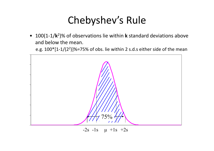# Chebyshev's Rule

• 100(1‐1/**k**2)% of observations lie within **k** standard deviations above and below the mean.

e.g.  $100*[1-1/(2^2)]\% = 75\%$  of obs. lie within 2 s.d.s either side of the mean



 $-2s$   $-1s$   $\mu$   $+1s$   $+2s$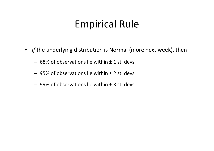## Empirical Rule

- *If* the underlying distribution is Normal (more next week), then
	- $-$  68% of observations lie within  $\pm$  1 st. devs
	- 95% of observations lie within ± 2 st. devs
	- 99% of observations lie within ± 3 st. devs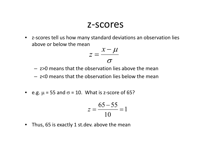### z‐scores

•● z-scores tell us how many standard deviations an observation lies above or below the mean

$$
z = \frac{x - \mu}{\sigma}
$$

- z>0 means that the observation lies above the mean
- $-$  z<0 means that the observation lies below the mean
- e.g.  $\mu$  = 55 and  $\sigma$  = 10. What is z-score of 65?

$$
z = \frac{65 - 55}{10} = 1
$$

 $\bullet$ • Thus, 65 is exactly 1 st.dev. above the mean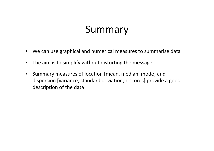## Summary

- •We can use graphical and numerical measures to summarise data
- $\bullet$ The aim is to simplify without distorting the message
- $\bullet$  Summary measures of location [mean, median, mode] and dispersion [variance, standard deviation, <sup>z</sup>‐scores] provide <sup>a</sup> good description of the data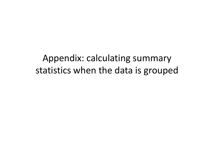Appendix: calculating summary statistics when the data is grouped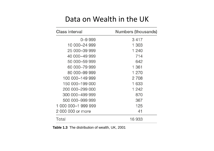### Data on Wealth in the UK

| <b>Class interval</b> | <b>Numbers (thousands)</b> |  |  |  |
|-----------------------|----------------------------|--|--|--|
| $0 - 9999$            | 3417                       |  |  |  |
| 10 000-24 999         | 1 303                      |  |  |  |
| 25 000 - 39 999       | 1 240                      |  |  |  |
| 40 000-49 999         | 714                        |  |  |  |
| 50 000-59 999         | 642                        |  |  |  |
| 60 000-79 999         | 1 361                      |  |  |  |
| 80 000-99 999         | 1 270                      |  |  |  |
| 100 000-149 999       | 2 708                      |  |  |  |
| 150 000-199 000       | 1 633                      |  |  |  |
| 200 000-299 000       | 1 242                      |  |  |  |
| 300 000-499 999       | 870                        |  |  |  |
| 500 000-999 999       | 367                        |  |  |  |
| 1 000 000-1 999 999   | 125                        |  |  |  |
| 2 000 000 or more     | 41                         |  |  |  |
| Total                 | 16 933                     |  |  |  |

**Table 1.3** The distribution of wealth, UK, 2001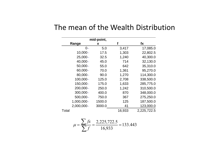|            | mid-point, |        |             |  |  |  |  |
|------------|------------|--------|-------------|--|--|--|--|
| Range      | X          | f      | fx          |  |  |  |  |
| $0-$       | 5.0        | 3,417  | 17,085.0    |  |  |  |  |
| $10,000 -$ | 17.5       | 1,303  | 22,802.5    |  |  |  |  |
| $25,000-$  | 32.5       | 1,240  | 40,300.0    |  |  |  |  |
| 40,000-    | 45.0       | 714    | 32,130.0    |  |  |  |  |
| $50,000-$  | 55.0       | 642    | 35,310.0    |  |  |  |  |
| 60,000-    | 70.0       | 1,361  | 95,270.0    |  |  |  |  |
| 80,000-    | 90.0       | 1,270  | 114,300.0   |  |  |  |  |
| 100,000-   | 125.0      | 2,708  | 338,500.0   |  |  |  |  |
| 150,000-   | 175.0      | 1,633  | 285,775.0   |  |  |  |  |
| 200,000-   | 250.0      | 1,242  | 310,500.0   |  |  |  |  |
| 300,000-   | 400.0      | 870    | 348,000.0   |  |  |  |  |
| 500,000-   | 750.0      | 367    | 275,250.0   |  |  |  |  |
| 1,000,000- | 1500.0     | 125    | 187,500.0   |  |  |  |  |
| 2,000,000- | 3000.0     | 41     | 123,000.0   |  |  |  |  |
| Total      |            | 16,933 | 2,225,722.5 |  |  |  |  |

#### The mean of the Wealth Distribution

$$
\mu = \frac{\sum fx}{\sum f} = \frac{2,225,722.5}{16,933} = 133.443
$$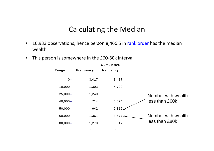### Calculating the Median

**Cumulative** 

- $\bullet$ 16,933 observations, hence person 8,466.5 in rank order has the median wealth
- This person is somewhere in the £60‐80k interval

|                |                  | <b>VUIII UIULI YV</b> |
|----------------|------------------|-----------------------|
| Range          | <b>Frequency</b> | frequency             |
| $0-$           | 3,417            | 3,417                 |
| $10,000 -$     | 1,303            | 4,720                 |
| $25,000-$      | 1,240            | 5,960                 |
| $40,000 -$     | 714              | 6,674                 |
| $50,000 -$     | 642              | $7,316 \triangle$     |
| $60,000 -$     | 1,361            | 8,677                 |
| $80,000 -$     | 1,270            | 9,947                 |
| $\blacksquare$ | $\blacksquare$   |                       |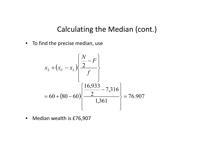### Calculating the Median (cont.)

 $\bullet$ • To find the precise median, use

$$
x_{L} + (x_{U} - x_{L}) \left\{ \frac{\frac{N}{2} - F}{f} \right\}
$$
  
= 60 + (80 - 60)  $\left\{ \frac{16,933}{2} - 7,316 \right\}$  = 76.907

 $\bullet$ Median wealth is £76,907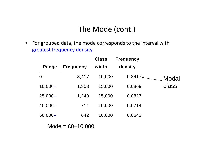### The Mode (cont.)

 $\bullet$  For grouped data, the mode corresponds to the interval with greatest frequency density

|            |                                                  | <b>Class</b> | <b>Frequency</b> |       |
|------------|--------------------------------------------------|--------------|------------------|-------|
| Range      | <b>Frequency</b>                                 | width        | density          |       |
| $0-$       | 3,417                                            | 10,000       | $0.3417 +$       | Modal |
| $10,000 -$ | 1,303                                            | 15,000       | 0.0869           | class |
| $25,000-$  | 1,240                                            | 15,000       | 0.0827           |       |
| 40,000-    | 714                                              | 10,000       | 0.0714           |       |
| $50,000 -$ | 642                                              | 10,000       | 0.0642           |       |
|            | $M \cap \Delta = \Gamma \cap \Delta \cap \Gamma$ |              |                  |       |

 $\textsf{Mode} = \textup{\texttt{E0--10,000}}$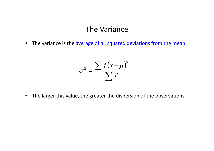#### The Variance

• The variance is the average of all squared deviations from the mean:

$$
\sigma^2 = \frac{\sum f(x - \mu)^2}{\sum f}
$$

 $\bullet$ The larger this value, the greater the dispersion of the observations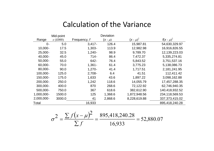| Mid-point   |         |              | <b>Deviation</b> |               |                  |
|-------------|---------|--------------|------------------|---------------|------------------|
| Range       | x(£000) | Frequency, f | $(x - \mu)$      | $(x - \mu)^2$ | $f(x-\mu)^2$     |
| $0-$        | 5.0     | $3,417-$     | 126.4            | 15,987.81     | 54,630,329.97    |
| $10,000 -$  | 17.5    | $1,303 -$    | 113.9            | 12,982.98     | 16,916,826.55    |
| $25,000-$   | 32.5    | $1,240 -$    | 98.9             | 9,789.70      | 12,139,223.03    |
| 40,000-     | 45.0    | $714 -$      | 86.4             | 7,472.37      | 5,335,274.81     |
| $50,000-$   | 55.0    | 642-         | 76.4             | 5,843.52      | 3,751,537.16     |
| 60,000-     | 70.0    | $1,361 -$    | 61.4             | 3,775.23      | 5,138,086.73     |
| 80,000-     | 90.0    | $1,270 -$    | 41.4             | 1,717.51      | 2,181,241.95     |
| 100,000-    | 125.0   | $2,708 -$    | 6.4              | 41.51         | 112,411.42       |
| 150,000-    | 175.0   | 1,633        | 43.6             | 1,897.22      | 3,098,162.88     |
| 200,000-    | 250.0   | 1,242        | 118.6            | 14,055.79     | 17,457,288.35    |
| $300,000 -$ | 400.0   | 870          | 268.6            | 72,122.92     | 62,746,940.35    |
| 500,000-    | 750.0   | 367          | 618.6            | 382,612.90    | 140,418,932.52   |
| 1,000,000   | 1500.0  | 125          | 1,368.6          | 1,872,948.56  | 234,118,569.53   |
| 2,000,000-  | 3000.0  | 41           | 2,868.6          | 8,228,619.88  | 337, 373, 415.02 |
| Total       |         | 16,933       |                  |               | 895,418,240.28   |

#### Calculation of the Variance

$$
\sigma^2 = \frac{\sum f(x - \mu)^2}{\sum f} = \frac{895,418,240.28}{16,933} = 52,880.07
$$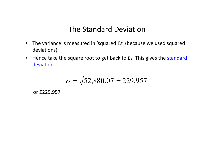### The Standard Deviation

- The variance is measured in 'squared £s' (because we used squared deviations)
- Hence take the square root to get back to £s This gives the standard deviation

$$
\sigma = \sqrt{52,880.07} = 229.957
$$

or £229 957 £229,957